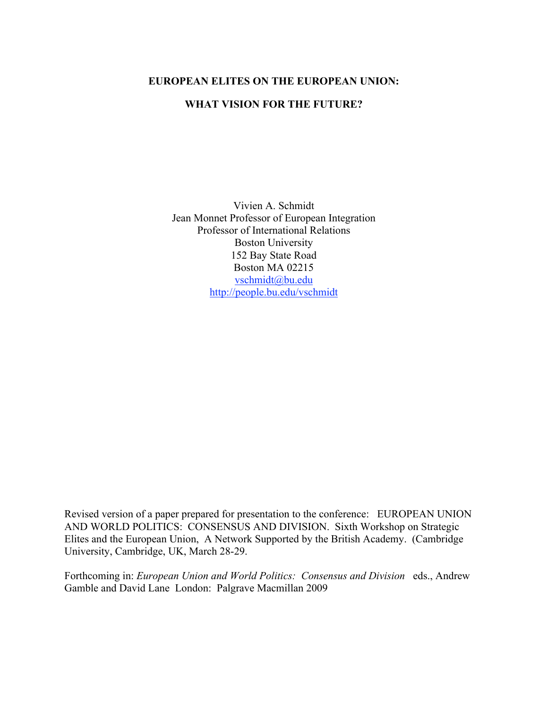## **EUROPEAN ELITES ON THE EUROPEAN UNION:**

# **WHAT VISION FOR THE FUTURE?**

Vivien A. Schmidt Jean Monnet Professor of European Integration Professor of International Relations Boston University 152 Bay State Road Boston MA 02215 vschmidt@bu.edu http://people.bu.edu/vschmidt

Revised version of a paper prepared for presentation to the conference: EUROPEAN UNION AND WORLD POLITICS: CONSENSUS AND DIVISION. Sixth Workshop on Strategic Elites and the European Union, A Network Supported by the British Academy. (Cambridge University, Cambridge, UK, March 28-29.

Forthcoming in: *European Union and World Politics: Consensus and Division* eds., Andrew Gamble and David Lane London: Palgrave Macmillan 2009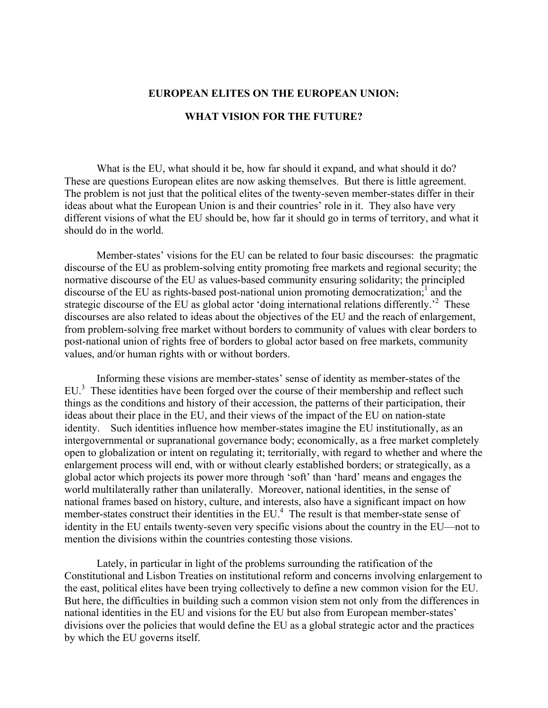## **EUROPEAN ELITES ON THE EUROPEAN UNION:**

## **WHAT VISION FOR THE FUTURE?**

What is the EU, what should it be, how far should it expand, and what should it do? These are questions European elites are now asking themselves. But there is little agreement. The problem is not just that the political elites of the twenty-seven member-states differ in their ideas about what the European Union is and their countries' role in it. They also have very different visions of what the EU should be, how far it should go in terms of territory, and what it should do in the world.

Member-states' visions for the EU can be related to four basic discourses: the pragmatic discourse of the EU as problem-solving entity promoting free markets and regional security; the normative discourse of the EU as values-based community ensuring solidarity; the principled discourse of the EU as rights-based post-national union promoting democratization;<sup>1</sup> and the strategic discourse of the EU as global actor 'doing international relations differently.<sup>2</sup> These discourses are also related to ideas about the objectives of the EU and the reach of enlargement, from problem-solving free market without borders to community of values with clear borders to post-national union of rights free of borders to global actor based on free markets, community values, and/or human rights with or without borders.

Informing these visions are member-states' sense of identity as member-states of the EU.<sup>3</sup> These identities have been forged over the course of their membership and reflect such things as the conditions and history of their accession, the patterns of their participation, their ideas about their place in the EU, and their views of the impact of the EU on nation-state identity. Such identities influence how member-states imagine the EU institutionally, as an intergovernmental or supranational governance body; economically, as a free market completely open to globalization or intent on regulating it; territorially, with regard to whether and where the enlargement process will end, with or without clearly established borders; or strategically, as a global actor which projects its power more through 'soft' than 'hard' means and engages the world multilaterally rather than unilaterally. Moreover, national identities, in the sense of national frames based on history, culture, and interests, also have a significant impact on how member-states construct their identities in the EU.<sup>4</sup> The result is that member-state sense of identity in the EU entails twenty-seven very specific visions about the country in the EU—not to mention the divisions within the countries contesting those visions.

Lately, in particular in light of the problems surrounding the ratification of the Constitutional and Lisbon Treaties on institutional reform and concerns involving enlargement to the east, political elites have been trying collectively to define a new common vision for the EU. But here, the difficulties in building such a common vision stem not only from the differences in national identities in the EU and visions for the EU but also from European member-states' divisions over the policies that would define the EU as a global strategic actor and the practices by which the EU governs itself.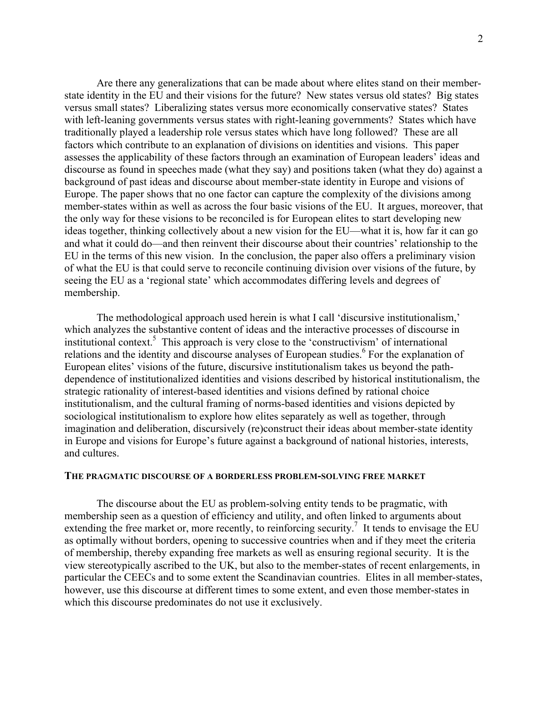Are there any generalizations that can be made about where elites stand on their memberstate identity in the EU and their visions for the future? New states versus old states? Big states versus small states? Liberalizing states versus more economically conservative states? States with left-leaning governments versus states with right-leaning governments? States which have traditionally played a leadership role versus states which have long followed? These are all factors which contribute to an explanation of divisions on identities and visions. This paper assesses the applicability of these factors through an examination of European leaders' ideas and discourse as found in speeches made (what they say) and positions taken (what they do) against a background of past ideas and discourse about member-state identity in Europe and visions of Europe. The paper shows that no one factor can capture the complexity of the divisions among member-states within as well as across the four basic visions of the EU. It argues, moreover, that the only way for these visions to be reconciled is for European elites to start developing new ideas together, thinking collectively about a new vision for the EU—what it is, how far it can go and what it could do—and then reinvent their discourse about their countries' relationship to the EU in the terms of this new vision. In the conclusion, the paper also offers a preliminary vision of what the EU is that could serve to reconcile continuing division over visions of the future, by seeing the EU as a 'regional state' which accommodates differing levels and degrees of membership.

The methodological approach used herein is what I call 'discursive institutionalism,' which analyzes the substantive content of ideas and the interactive processes of discourse in institutional context.<sup>5</sup> This approach is very close to the 'constructivism' of international relations and the identity and discourse analyses of European studies.<sup>6</sup> For the explanation of European elites' visions of the future, discursive institutionalism takes us beyond the pathdependence of institutionalized identities and visions described by historical institutionalism, the strategic rationality of interest-based identities and visions defined by rational choice institutionalism, and the cultural framing of norms-based identities and visions depicted by sociological institutionalism to explore how elites separately as well as together, through imagination and deliberation, discursively (re)construct their ideas about member-state identity in Europe and visions for Europe's future against a background of national histories, interests, and cultures.

#### **THE PRAGMATIC DISCOURSE OF A BORDERLESS PROBLEM-SOLVING FREE MARKET**

The discourse about the EU as problem-solving entity tends to be pragmatic, with membership seen as a question of efficiency and utility, and often linked to arguments about extending the free market or, more recently, to reinforcing security.<sup>7</sup> It tends to envisage the EU as optimally without borders, opening to successive countries when and if they meet the criteria of membership, thereby expanding free markets as well as ensuring regional security. It is the view stereotypically ascribed to the UK, but also to the member-states of recent enlargements, in particular the CEECs and to some extent the Scandinavian countries. Elites in all member-states, however, use this discourse at different times to some extent, and even those member-states in which this discourse predominates do not use it exclusively.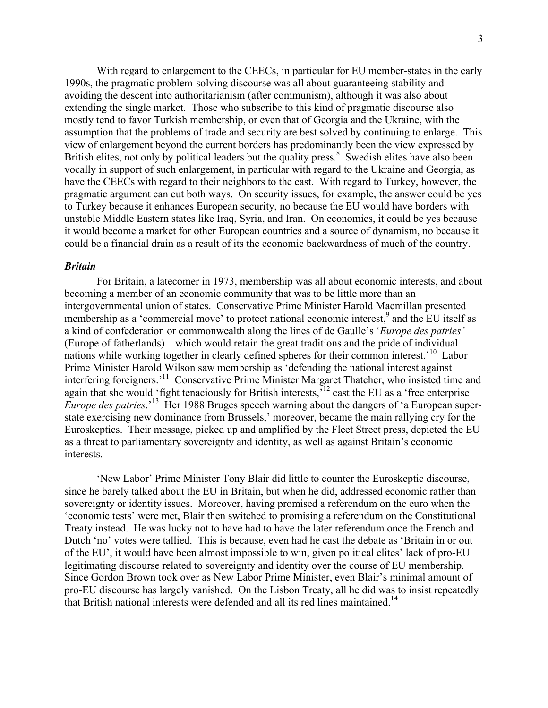With regard to enlargement to the CEECs, in particular for EU member-states in the early 1990s, the pragmatic problem-solving discourse was all about guaranteeing stability and avoiding the descent into authoritarianism (after communism), although it was also about extending the single market. Those who subscribe to this kind of pragmatic discourse also mostly tend to favor Turkish membership, or even that of Georgia and the Ukraine, with the assumption that the problems of trade and security are best solved by continuing to enlarge. This view of enlargement beyond the current borders has predominantly been the view expressed by British elites, not only by political leaders but the quality press.<sup>8</sup> Swedish elites have also been vocally in support of such enlargement, in particular with regard to the Ukraine and Georgia, as have the CEECs with regard to their neighbors to the east. With regard to Turkey, however, the pragmatic argument can cut both ways. On security issues, for example, the answer could be yes to Turkey because it enhances European security, no because the EU would have borders with unstable Middle Eastern states like Iraq, Syria, and Iran. On economics, it could be yes because it would become a market for other European countries and a source of dynamism, no because it could be a financial drain as a result of its the economic backwardness of much of the country.

#### *Britain*

For Britain, a latecomer in 1973, membership was all about economic interests, and about becoming a member of an economic community that was to be little more than an intergovernmental union of states. Conservative Prime Minister Harold Macmillan presented membership as a 'commercial move' to protect national economic interest,<sup>9</sup> and the EU itself as a kind of confederation or commonwealth along the lines of de Gaulle's '*Europe des patries'*  (Europe of fatherlands) – which would retain the great traditions and the pride of individual nations while working together in clearly defined spheres for their common interest.<sup>10</sup> Labor Prime Minister Harold Wilson saw membership as 'defending the national interest against interfering foreigners.'11 Conservative Prime Minister Margaret Thatcher, who insisted time and again that she would 'fight tenaciously for British interests,'12 cast the EU as a 'free enterprise *Europe des patries*.<sup>13</sup> Her 1988 Bruges speech warning about the dangers of 'a European superstate exercising new dominance from Brussels,' moreover, became the main rallying cry for the Euroskeptics. Their message, picked up and amplified by the Fleet Street press, depicted the EU as a threat to parliamentary sovereignty and identity, as well as against Britain's economic interests.

'New Labor' Prime Minister Tony Blair did little to counter the Euroskeptic discourse, since he barely talked about the EU in Britain, but when he did, addressed economic rather than sovereignty or identity issues. Moreover, having promised a referendum on the euro when the 'economic tests' were met, Blair then switched to promising a referendum on the Constitutional Treaty instead. He was lucky not to have had to have the later referendum once the French and Dutch 'no' votes were tallied. This is because, even had he cast the debate as 'Britain in or out of the EU', it would have been almost impossible to win, given political elites' lack of pro-EU legitimating discourse related to sovereignty and identity over the course of EU membership. Since Gordon Brown took over as New Labor Prime Minister, even Blair's minimal amount of pro-EU discourse has largely vanished. On the Lisbon Treaty, all he did was to insist repeatedly that British national interests were defended and all its red lines maintained.<sup>14</sup>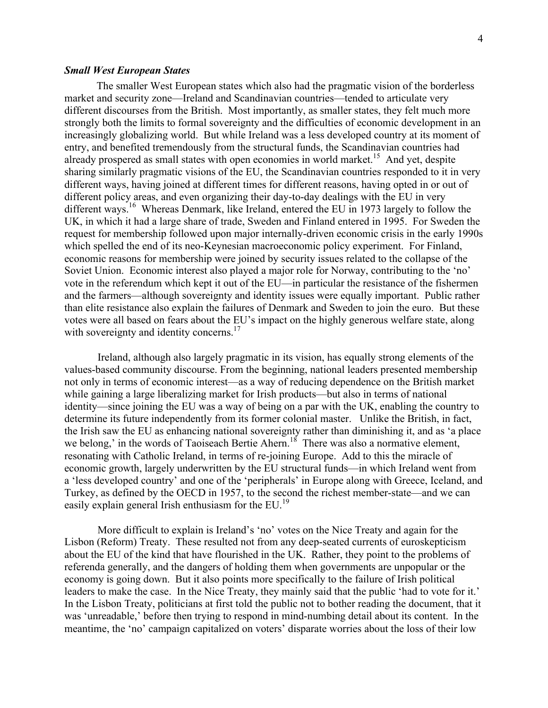## *Small West European States*

The smaller West European states which also had the pragmatic vision of the borderless market and security zone—Ireland and Scandinavian countries—tended to articulate very different discourses from the British. Most importantly, as smaller states, they felt much more strongly both the limits to formal sovereignty and the difficulties of economic development in an increasingly globalizing world. But while Ireland was a less developed country at its moment of entry, and benefited tremendously from the structural funds, the Scandinavian countries had already prospered as small states with open economies in world market.<sup>15</sup> And yet, despite sharing similarly pragmatic visions of the EU, the Scandinavian countries responded to it in very different ways, having joined at different times for different reasons, having opted in or out of different policy areas, and even organizing their day-to-day dealings with the EU in very different ways.<sup>16</sup> Whereas Denmark, like Ireland, entered the EU in 1973 largely to follow the UK, in which it had a large share of trade, Sweden and Finland entered in 1995. For Sweden the request for membership followed upon major internally-driven economic crisis in the early 1990s which spelled the end of its neo-Keynesian macroeconomic policy experiment. For Finland, economic reasons for membership were joined by security issues related to the collapse of the Soviet Union. Economic interest also played a major role for Norway, contributing to the 'no' vote in the referendum which kept it out of the EU—in particular the resistance of the fishermen and the farmers—although sovereignty and identity issues were equally important. Public rather than elite resistance also explain the failures of Denmark and Sweden to join the euro. But these votes were all based on fears about the EU's impact on the highly generous welfare state, along with sovereignty and identity concerns.<sup>17</sup>

Ireland, although also largely pragmatic in its vision, has equally strong elements of the values-based community discourse. From the beginning, national leaders presented membership not only in terms of economic interest—as a way of reducing dependence on the British market while gaining a large liberalizing market for Irish products—but also in terms of national identity—since joining the EU was a way of being on a par with the UK, enabling the country to determine its future independently from its former colonial master. Unlike the British, in fact, the Irish saw the EU as enhancing national sovereignty rather than diminishing it, and as 'a place we belong,' in the words of Taoiseach Bertie Ahern.<sup>18</sup> There was also a normative element, resonating with Catholic Ireland, in terms of re-joining Europe. Add to this the miracle of economic growth, largely underwritten by the EU structural funds—in which Ireland went from a 'less developed country' and one of the 'peripherals' in Europe along with Greece, Iceland, and Turkey, as defined by the OECD in 1957, to the second the richest member-state—and we can easily explain general Irish enthusiasm for the EU.<sup>19</sup>

More difficult to explain is Ireland's 'no' votes on the Nice Treaty and again for the Lisbon (Reform) Treaty. These resulted not from any deep-seated currents of euroskepticism about the EU of the kind that have flourished in the UK. Rather, they point to the problems of referenda generally, and the dangers of holding them when governments are unpopular or the economy is going down. But it also points more specifically to the failure of Irish political leaders to make the case. In the Nice Treaty, they mainly said that the public 'had to vote for it.' In the Lisbon Treaty, politicians at first told the public not to bother reading the document, that it was 'unreadable,' before then trying to respond in mind-numbing detail about its content. In the meantime, the 'no' campaign capitalized on voters' disparate worries about the loss of their low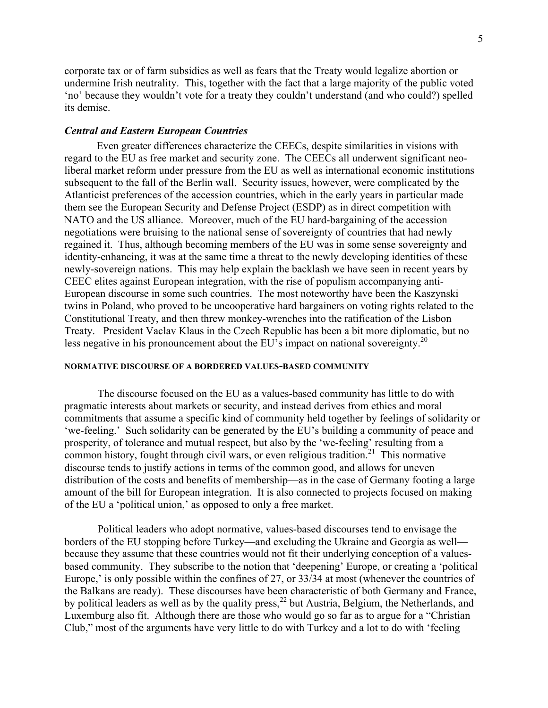corporate tax or of farm subsidies as well as fears that the Treaty would legalize abortion or undermine Irish neutrality. This, together with the fact that a large majority of the public voted 'no' because they wouldn't vote for a treaty they couldn't understand (and who could?) spelled its demise.

## *Central and Eastern European Countries*

Even greater differences characterize the CEECs, despite similarities in visions with regard to the EU as free market and security zone. The CEECs all underwent significant neoliberal market reform under pressure from the EU as well as international economic institutions subsequent to the fall of the Berlin wall. Security issues, however, were complicated by the Atlanticist preferences of the accession countries, which in the early years in particular made them see the European Security and Defense Project (ESDP) as in direct competition with NATO and the US alliance. Moreover, much of the EU hard-bargaining of the accession negotiations were bruising to the national sense of sovereignty of countries that had newly regained it. Thus, although becoming members of the EU was in some sense sovereignty and identity-enhancing, it was at the same time a threat to the newly developing identities of these newly-sovereign nations. This may help explain the backlash we have seen in recent years by CEEC elites against European integration, with the rise of populism accompanying anti-European discourse in some such countries. The most noteworthy have been the Kaszynski twins in Poland, who proved to be uncooperative hard bargainers on voting rights related to the Constitutional Treaty, and then threw monkey-wrenches into the ratification of the Lisbon Treaty. President Vaclav Klaus in the Czech Republic has been a bit more diplomatic, but no less negative in his pronouncement about the EU's impact on national sovereignty.<sup>20</sup>

### **NORMATIVE DISCOURSE OF A BORDERED VALUES-BASED COMMUNITY**

The discourse focused on the EU as a values-based community has little to do with pragmatic interests about markets or security, and instead derives from ethics and moral commitments that assume a specific kind of community held together by feelings of solidarity or 'we-feeling.' Such solidarity can be generated by the EU's building a community of peace and prosperity, of tolerance and mutual respect, but also by the 'we-feeling' resulting from a common history, fought through civil wars, or even religious tradition.<sup>21</sup> This normative discourse tends to justify actions in terms of the common good, and allows for uneven distribution of the costs and benefits of membership—as in the case of Germany footing a large amount of the bill for European integration. It is also connected to projects focused on making of the EU a 'political union,' as opposed to only a free market.

Political leaders who adopt normative, values-based discourses tend to envisage the borders of the EU stopping before Turkey—and excluding the Ukraine and Georgia as well because they assume that these countries would not fit their underlying conception of a valuesbased community. They subscribe to the notion that 'deepening' Europe, or creating a 'political Europe,' is only possible within the confines of 27, or 33/34 at most (whenever the countries of the Balkans are ready). These discourses have been characteristic of both Germany and France, by political leaders as well as by the quality press,<sup>22</sup> but Austria, Belgium, the Netherlands, and Luxemburg also fit. Although there are those who would go so far as to argue for a "Christian Club," most of the arguments have very little to do with Turkey and a lot to do with 'feeling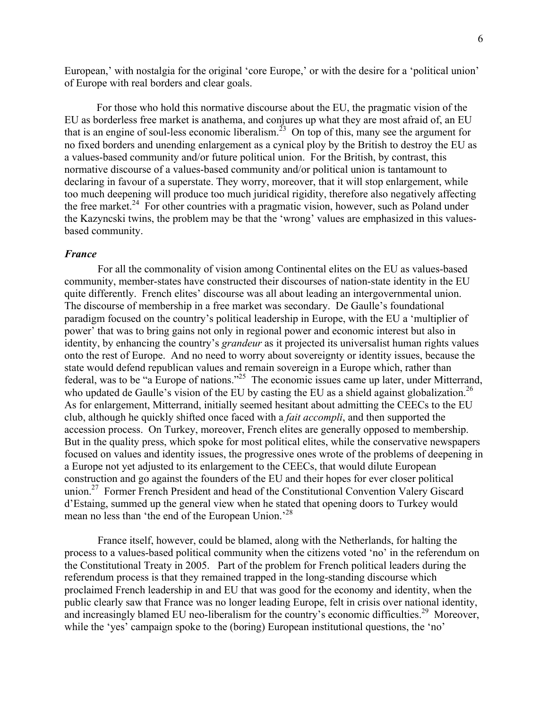European,' with nostalgia for the original 'core Europe,' or with the desire for a 'political union' of Europe with real borders and clear goals.

For those who hold this normative discourse about the EU, the pragmatic vision of the EU as borderless free market is anathema, and conjures up what they are most afraid of, an EU that is an engine of soul-less economic liberalism.<sup>23</sup> On top of this, many see the argument for no fixed borders and unending enlargement as a cynical ploy by the British to destroy the EU as a values-based community and/or future political union. For the British, by contrast, this normative discourse of a values-based community and/or political union is tantamount to declaring in favour of a superstate. They worry, moreover, that it will stop enlargement, while too much deepening will produce too much juridical rigidity, therefore also negatively affecting the free market.<sup>24</sup> For other countries with a pragmatic vision, however, such as Poland under the Kazyncski twins, the problem may be that the 'wrong' values are emphasized in this valuesbased community.

## *France*

For all the commonality of vision among Continental elites on the EU as values-based community, member-states have constructed their discourses of nation-state identity in the EU quite differently. French elites' discourse was all about leading an intergovernmental union. The discourse of membership in a free market was secondary. De Gaulle's foundational paradigm focused on the country's political leadership in Europe, with the EU a 'multiplier of power' that was to bring gains not only in regional power and economic interest but also in identity, by enhancing the country's *grandeur* as it projected its universalist human rights values onto the rest of Europe. And no need to worry about sovereignty or identity issues, because the state would defend republican values and remain sovereign in a Europe which, rather than federal, was to be "a Europe of nations."25 The economic issues came up later, under Mitterrand, who updated de Gaulle's vision of the EU by casting the EU as a shield against globalization.<sup>26</sup> As for enlargement, Mitterrand, initially seemed hesitant about admitting the CEECs to the EU club, although he quickly shifted once faced with a *fait accompli*, and then supported the accession process. On Turkey, moreover, French elites are generally opposed to membership. But in the quality press, which spoke for most political elites, while the conservative newspapers focused on values and identity issues, the progressive ones wrote of the problems of deepening in a Europe not yet adjusted to its enlargement to the CEECs, that would dilute European construction and go against the founders of the EU and their hopes for ever closer political union.<sup>27</sup> Former French President and head of the Constitutional Convention Valery Giscard d'Estaing, summed up the general view when he stated that opening doors to Turkey would mean no less than 'the end of the European Union.'<sup>28</sup>

France itself, however, could be blamed, along with the Netherlands, for halting the process to a values-based political community when the citizens voted 'no' in the referendum on the Constitutional Treaty in 2005. Part of the problem for French political leaders during the referendum process is that they remained trapped in the long-standing discourse which proclaimed French leadership in and EU that was good for the economy and identity, when the public clearly saw that France was no longer leading Europe, felt in crisis over national identity, and increasingly blamed EU neo-liberalism for the country's economic difficulties.<sup>29</sup> Moreover, while the 'yes' campaign spoke to the (boring) European institutional questions, the 'no'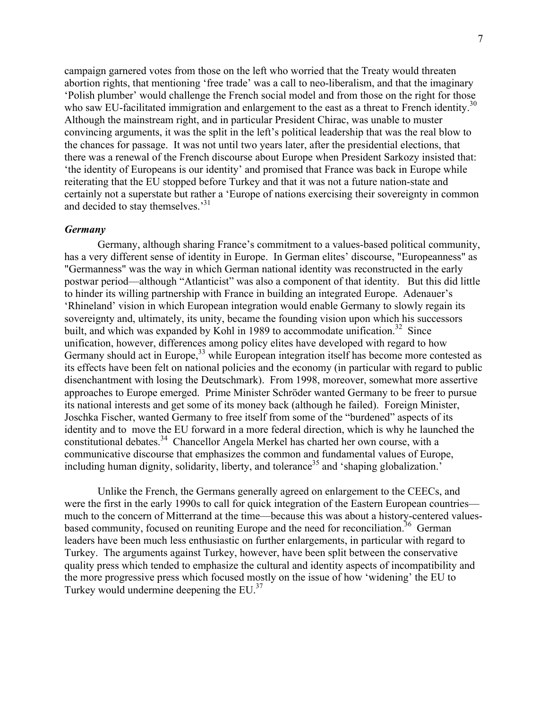campaign garnered votes from those on the left who worried that the Treaty would threaten abortion rights, that mentioning 'free trade' was a call to neo-liberalism, and that the imaginary 'Polish plumber' would challenge the French social model and from those on the right for those who saw EU-facilitated immigration and enlargement to the east as a threat to French identity.<sup>30</sup> Although the mainstream right, and in particular President Chirac, was unable to muster convincing arguments, it was the split in the left's political leadership that was the real blow to the chances for passage. It was not until two years later, after the presidential elections, that there was a renewal of the French discourse about Europe when President Sarkozy insisted that: 'the identity of Europeans is our identity' and promised that France was back in Europe while reiterating that the EU stopped before Turkey and that it was not a future nation-state and certainly not a superstate but rather a 'Europe of nations exercising their sovereignty in common and decided to stay themselves.<sup>31</sup>

#### *Germany*

Germany, although sharing France's commitment to a values-based political community, has a very different sense of identity in Europe. In German elites' discourse, "Europeanness" as "Germanness" was the way in which German national identity was reconstructed in the early postwar period—although "Atlanticist" was also a component of that identity. But this did little to hinder its willing partnership with France in building an integrated Europe. Adenauer's 'Rhineland' vision in which European integration would enable Germany to slowly regain its sovereignty and, ultimately, its unity, became the founding vision upon which his successors built, and which was expanded by Kohl in 1989 to accommodate unification.<sup>32</sup> Since unification, however, differences among policy elites have developed with regard to how Germany should act in Europe,<sup>33</sup> while European integration itself has become more contested as its effects have been felt on national policies and the economy (in particular with regard to public disenchantment with losing the Deutschmark). From 1998, moreover, somewhat more assertive approaches to Europe emerged. Prime Minister Schröder wanted Germany to be freer to pursue its national interests and get some of its money back (although he failed). Foreign Minister, Joschka Fischer, wanted Germany to free itself from some of the "burdened" aspects of its identity and to move the EU forward in a more federal direction, which is why he launched the constitutional debates.<sup>34</sup> Chancellor Angela Merkel has charted her own course, with a communicative discourse that emphasizes the common and fundamental values of Europe, including human dignity, solidarity, liberty, and tolerance<sup>35</sup> and 'shaping globalization.'

Unlike the French, the Germans generally agreed on enlargement to the CEECs, and were the first in the early 1990s to call for quick integration of the Eastern European countries much to the concern of Mitterrand at the time—because this was about a history-centered valuesbased community, focused on reuniting Europe and the need for reconciliation.<sup>36</sup> German leaders have been much less enthusiastic on further enlargements, in particular with regard to Turkey. The arguments against Turkey, however, have been split between the conservative quality press which tended to emphasize the cultural and identity aspects of incompatibility and the more progressive press which focused mostly on the issue of how 'widening' the EU to Turkey would undermine deepening the EU.<sup>37</sup>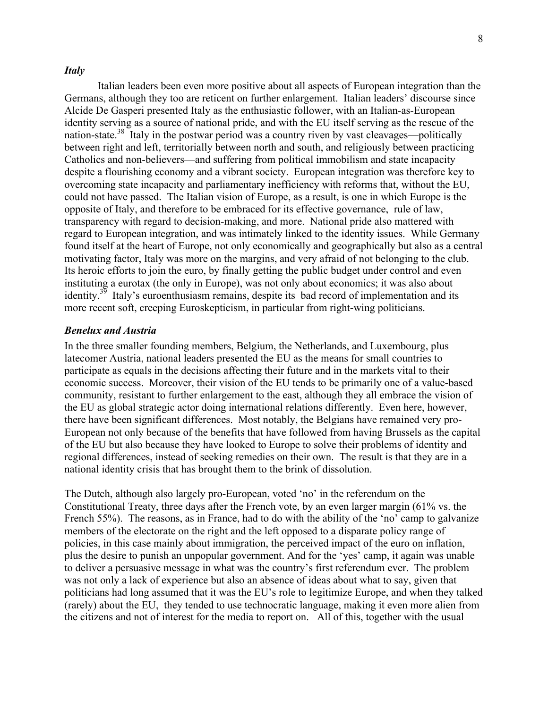## *Italy*

Italian leaders been even more positive about all aspects of European integration than the Germans, although they too are reticent on further enlargement. Italian leaders' discourse since Alcide De Gasperi presented Italy as the enthusiastic follower, with an Italian-as-European identity serving as a source of national pride, and with the EU itself serving as the rescue of the nation-state.38 Italy in the postwar period was a country riven by vast cleavages—politically between right and left, territorially between north and south, and religiously between practicing Catholics and non-believers—and suffering from political immobilism and state incapacity despite a flourishing economy and a vibrant society. European integration was therefore key to overcoming state incapacity and parliamentary inefficiency with reforms that, without the EU, could not have passed. The Italian vision of Europe, as a result, is one in which Europe is the opposite of Italy, and therefore to be embraced for its effective governance, rule of law, transparency with regard to decision-making, and more. National pride also mattered with regard to European integration, and was intimately linked to the identity issues. While Germany found itself at the heart of Europe, not only economically and geographically but also as a central motivating factor, Italy was more on the margins, and very afraid of not belonging to the club. Its heroic efforts to join the euro, by finally getting the public budget under control and even instituting a eurotax (the only in Europe), was not only about economics; it was also about identity.<sup>39</sup> Italy's euroenthusiasm remains, despite its bad record of implementation and its more recent soft, creeping Euroskepticism, in particular from right-wing politicians.

# *Benelux and Austria*

In the three smaller founding members, Belgium, the Netherlands, and Luxembourg, plus latecomer Austria, national leaders presented the EU as the means for small countries to participate as equals in the decisions affecting their future and in the markets vital to their economic success. Moreover, their vision of the EU tends to be primarily one of a value-based community, resistant to further enlargement to the east, although they all embrace the vision of the EU as global strategic actor doing international relations differently. Even here, however, there have been significant differences. Most notably, the Belgians have remained very pro-European not only because of the benefits that have followed from having Brussels as the capital of the EU but also because they have looked to Europe to solve their problems of identity and regional differences, instead of seeking remedies on their own. The result is that they are in a national identity crisis that has brought them to the brink of dissolution.

The Dutch, although also largely pro-European, voted 'no' in the referendum on the Constitutional Treaty, three days after the French vote, by an even larger margin (61% vs. the French 55%). The reasons, as in France, had to do with the ability of the 'no' camp to galvanize members of the electorate on the right and the left opposed to a disparate policy range of policies, in this case mainly about immigration, the perceived impact of the euro on inflation, plus the desire to punish an unpopular government. And for the 'yes' camp, it again was unable to deliver a persuasive message in what was the country's first referendum ever. The problem was not only a lack of experience but also an absence of ideas about what to say, given that politicians had long assumed that it was the EU's role to legitimize Europe, and when they talked (rarely) about the EU, they tended to use technocratic language, making it even more alien from the citizens and not of interest for the media to report on. All of this, together with the usual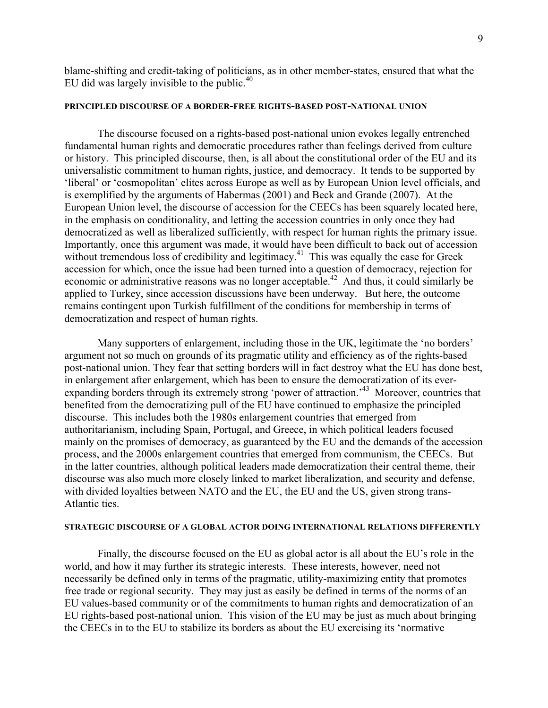#### **PRINCIPLED DISCOURSE OF A BORDER-FREE RIGHTS-BASED POST-NATIONAL UNION**

The discourse focused on a rights-based post-national union evokes legally entrenched fundamental human rights and democratic procedures rather than feelings derived from culture or history. This principled discourse, then, is all about the constitutional order of the EU and its universalistic commitment to human rights, justice, and democracy. It tends to be supported by 'liberal' or 'cosmopolitan' elites across Europe as well as by European Union level officials, and is exemplified by the arguments of Habermas (2001) and Beck and Grande (2007). At the European Union level, the discourse of accession for the CEECs has been squarely located here, in the emphasis on conditionality, and letting the accession countries in only once they had democratized as well as liberalized sufficiently, with respect for human rights the primary issue. Importantly, once this argument was made, it would have been difficult to back out of accession without tremendous loss of credibility and legitimacy.<sup>41</sup> This was equally the case for Greek accession for which, once the issue had been turned into a question of democracy, rejection for economic or administrative reasons was no longer acceptable.<sup>42</sup> And thus, it could similarly be applied to Turkey, since accession discussions have been underway. But here, the outcome remains contingent upon Turkish fulfillment of the conditions for membership in terms of democratization and respect of human rights.

Many supporters of enlargement, including those in the UK, legitimate the 'no borders' argument not so much on grounds of its pragmatic utility and efficiency as of the rights-based post-national union. They fear that setting borders will in fact destroy what the EU has done best, in enlargement after enlargement, which has been to ensure the democratization of its everexpanding borders through its extremely strong 'power of attraction.'43 Moreover, countries that benefited from the democratizing pull of the EU have continued to emphasize the principled discourse. This includes both the 1980s enlargement countries that emerged from authoritarianism, including Spain, Portugal, and Greece, in which political leaders focused mainly on the promises of democracy, as guaranteed by the EU and the demands of the accession process, and the 2000s enlargement countries that emerged from communism, the CEECs. But in the latter countries, although political leaders made democratization their central theme, their discourse was also much more closely linked to market liberalization, and security and defense, with divided loyalties between NATO and the EU, the EU and the US, given strong trans-Atlantic ties.

#### **STRATEGIC DISCOURSE OF A GLOBAL ACTOR DOING INTERNATIONAL RELATIONS DIFFERENTLY**

Finally, the discourse focused on the EU as global actor is all about the EU's role in the world, and how it may further its strategic interests. These interests, however, need not necessarily be defined only in terms of the pragmatic, utility-maximizing entity that promotes free trade or regional security. They may just as easily be defined in terms of the norms of an EU values-based community or of the commitments to human rights and democratization of an EU rights-based post-national union. This vision of the EU may be just as much about bringing the CEECs in to the EU to stabilize its borders as about the EU exercising its 'normative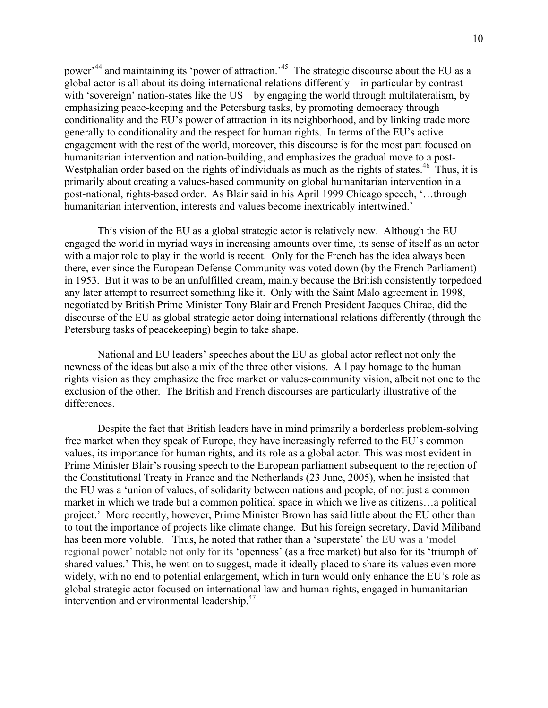power<sup>'44</sup> and maintaining its 'power of attraction.<sup>'45</sup> The strategic discourse about the EU as a global actor is all about its doing international relations differently—in particular by contrast with 'sovereign' nation-states like the US—by engaging the world through multilateralism, by emphasizing peace-keeping and the Petersburg tasks, by promoting democracy through conditionality and the EU's power of attraction in its neighborhood, and by linking trade more generally to conditionality and the respect for human rights. In terms of the EU's active engagement with the rest of the world, moreover, this discourse is for the most part focused on humanitarian intervention and nation-building, and emphasizes the gradual move to a post-Westphalian order based on the rights of individuals as much as the rights of states.<sup>46</sup> Thus, it is primarily about creating a values-based community on global humanitarian intervention in a post-national, rights-based order. As Blair said in his April 1999 Chicago speech, '…through humanitarian intervention, interests and values become inextricably intertwined.'

This vision of the EU as a global strategic actor is relatively new. Although the EU engaged the world in myriad ways in increasing amounts over time, its sense of itself as an actor with a major role to play in the world is recent. Only for the French has the idea always been there, ever since the European Defense Community was voted down (by the French Parliament) in 1953. But it was to be an unfulfilled dream, mainly because the British consistently torpedoed any later attempt to resurrect something like it. Only with the Saint Malo agreement in 1998, negotiated by British Prime Minister Tony Blair and French President Jacques Chirac, did the discourse of the EU as global strategic actor doing international relations differently (through the Petersburg tasks of peacekeeping) begin to take shape.

National and EU leaders' speeches about the EU as global actor reflect not only the newness of the ideas but also a mix of the three other visions. All pay homage to the human rights vision as they emphasize the free market or values-community vision, albeit not one to the exclusion of the other. The British and French discourses are particularly illustrative of the differences.

Despite the fact that British leaders have in mind primarily a borderless problem-solving free market when they speak of Europe, they have increasingly referred to the EU's common values, its importance for human rights, and its role as a global actor. This was most evident in Prime Minister Blair's rousing speech to the European parliament subsequent to the rejection of the Constitutional Treaty in France and the Netherlands (23 June, 2005), when he insisted that the EU was a 'union of values, of solidarity between nations and people, of not just a common market in which we trade but a common political space in which we live as citizens…a political project.' More recently, however, Prime Minister Brown has said little about the EU other than to tout the importance of projects like climate change. But his foreign secretary, David Miliband has been more voluble. Thus, he noted that rather than a 'superstate' the EU was a 'model regional power' notable not only for its 'openness' (as a free market) but also for its 'triumph of shared values.' This, he went on to suggest, made it ideally placed to share its values even more widely, with no end to potential enlargement, which in turn would only enhance the EU's role as global strategic actor focused on international law and human rights, engaged in humanitarian intervention and environmental leadership.<sup>47</sup>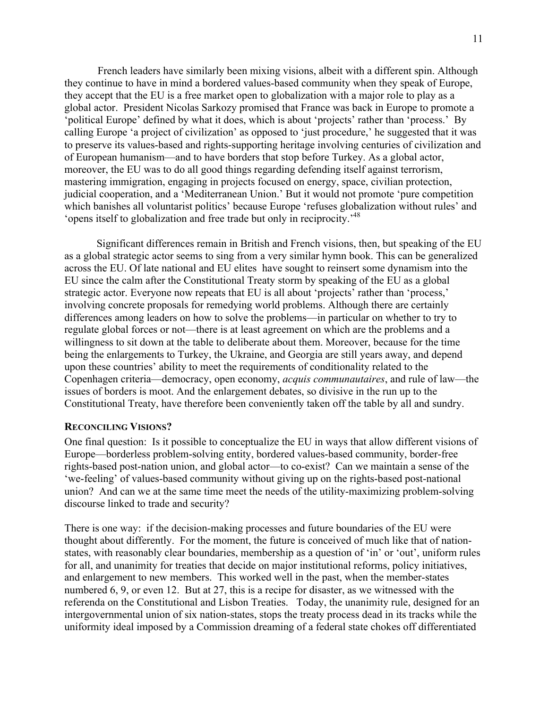French leaders have similarly been mixing visions, albeit with a different spin. Although they continue to have in mind a bordered values-based community when they speak of Europe, they accept that the EU is a free market open to globalization with a major role to play as a global actor. President Nicolas Sarkozy promised that France was back in Europe to promote a 'political Europe' defined by what it does, which is about 'projects' rather than 'process.' By calling Europe 'a project of civilization' as opposed to 'just procedure,' he suggested that it was to preserve its values-based and rights-supporting heritage involving centuries of civilization and of European humanism—and to have borders that stop before Turkey. As a global actor, moreover, the EU was to do all good things regarding defending itself against terrorism, mastering immigration, engaging in projects focused on energy, space, civilian protection, judicial cooperation, and a 'Mediterranean Union.' But it would not promote 'pure competition which banishes all voluntarist politics' because Europe 'refuses globalization without rules' and 'opens itself to globalization and free trade but only in reciprocity.'48

Significant differences remain in British and French visions, then, but speaking of the EU as a global strategic actor seems to sing from a very similar hymn book. This can be generalized across the EU. Of late national and EU elites have sought to reinsert some dynamism into the EU since the calm after the Constitutional Treaty storm by speaking of the EU as a global strategic actor. Everyone now repeats that EU is all about 'projects' rather than 'process,' involving concrete proposals for remedying world problems. Although there are certainly differences among leaders on how to solve the problems—in particular on whether to try to regulate global forces or not—there is at least agreement on which are the problems and a willingness to sit down at the table to deliberate about them. Moreover, because for the time being the enlargements to Turkey, the Ukraine, and Georgia are still years away, and depend upon these countries' ability to meet the requirements of conditionality related to the Copenhagen criteria—democracy, open economy, *acquis communautaires*, and rule of law—the issues of borders is moot. And the enlargement debates, so divisive in the run up to the Constitutional Treaty, have therefore been conveniently taken off the table by all and sundry.

#### **RECONCILING VISIONS?**

One final question: Is it possible to conceptualize the EU in ways that allow different visions of Europe—borderless problem-solving entity, bordered values-based community, border-free rights-based post-nation union, and global actor—to co-exist? Can we maintain a sense of the 'we-feeling' of values-based community without giving up on the rights-based post-national union? And can we at the same time meet the needs of the utility-maximizing problem-solving discourse linked to trade and security?

There is one way: if the decision-making processes and future boundaries of the EU were thought about differently. For the moment, the future is conceived of much like that of nationstates, with reasonably clear boundaries, membership as a question of 'in' or 'out', uniform rules for all, and unanimity for treaties that decide on major institutional reforms, policy initiatives, and enlargement to new members. This worked well in the past, when the member-states numbered 6, 9, or even 12. But at 27, this is a recipe for disaster, as we witnessed with the referenda on the Constitutional and Lisbon Treaties. Today, the unanimity rule, designed for an intergovernmental union of six nation-states, stops the treaty process dead in its tracks while the uniformity ideal imposed by a Commission dreaming of a federal state chokes off differentiated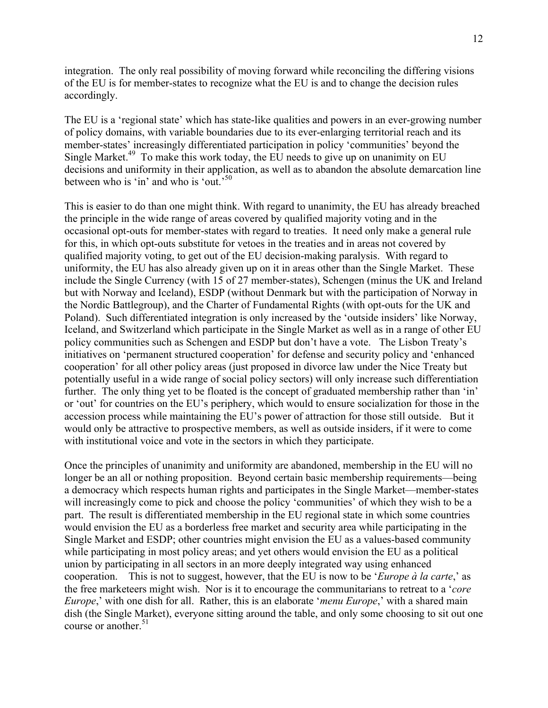integration. The only real possibility of moving forward while reconciling the differing visions of the EU is for member-states to recognize what the EU is and to change the decision rules accordingly.

The EU is a 'regional state' which has state-like qualities and powers in an ever-growing number of policy domains, with variable boundaries due to its ever-enlarging territorial reach and its member-states' increasingly differentiated participation in policy 'communities' beyond the Single Market.<sup>49</sup> To make this work today, the EU needs to give up on unanimity on EU decisions and uniformity in their application, as well as to abandon the absolute demarcation line between who is 'in' and who is 'out.'<sup>50</sup>

This is easier to do than one might think. With regard to unanimity, the EU has already breached the principle in the wide range of areas covered by qualified majority voting and in the occasional opt-outs for member-states with regard to treaties. It need only make a general rule for this, in which opt-outs substitute for vetoes in the treaties and in areas not covered by qualified majority voting, to get out of the EU decision-making paralysis. With regard to uniformity, the EU has also already given up on it in areas other than the Single Market. These include the Single Currency (with 15 of 27 member-states), Schengen (minus the UK and Ireland but with Norway and Iceland), ESDP (without Denmark but with the participation of Norway in the Nordic Battlegroup), and the Charter of Fundamental Rights (with opt-outs for the UK and Poland). Such differentiated integration is only increased by the 'outside insiders' like Norway, Iceland, and Switzerland which participate in the Single Market as well as in a range of other EU policy communities such as Schengen and ESDP but don't have a vote. The Lisbon Treaty's initiatives on 'permanent structured cooperation' for defense and security policy and 'enhanced cooperation' for all other policy areas (just proposed in divorce law under the Nice Treaty but potentially useful in a wide range of social policy sectors) will only increase such differentiation further. The only thing yet to be floated is the concept of graduated membership rather than 'in' or 'out' for countries on the EU's periphery, which would to ensure socialization for those in the accession process while maintaining the EU's power of attraction for those still outside. But it would only be attractive to prospective members, as well as outside insiders, if it were to come with institutional voice and vote in the sectors in which they participate.

Once the principles of unanimity and uniformity are abandoned, membership in the EU will no longer be an all or nothing proposition. Beyond certain basic membership requirements—being a democracy which respects human rights and participates in the Single Market—member-states will increasingly come to pick and choose the policy 'communities' of which they wish to be a part. The result is differentiated membership in the EU regional state in which some countries would envision the EU as a borderless free market and security area while participating in the Single Market and ESDP; other countries might envision the EU as a values-based community while participating in most policy areas; and yet others would envision the EU as a political union by participating in all sectors in an more deeply integrated way using enhanced cooperation. This is not to suggest, however, that the EU is now to be '*Europe à la carte*,' as the free marketeers might wish. Nor is it to encourage the communitarians to retreat to a '*core Europe*,' with one dish for all. Rather, this is an elaborate '*menu Europe*,' with a shared main dish (the Single Market), everyone sitting around the table, and only some choosing to sit out one course or another.  $51$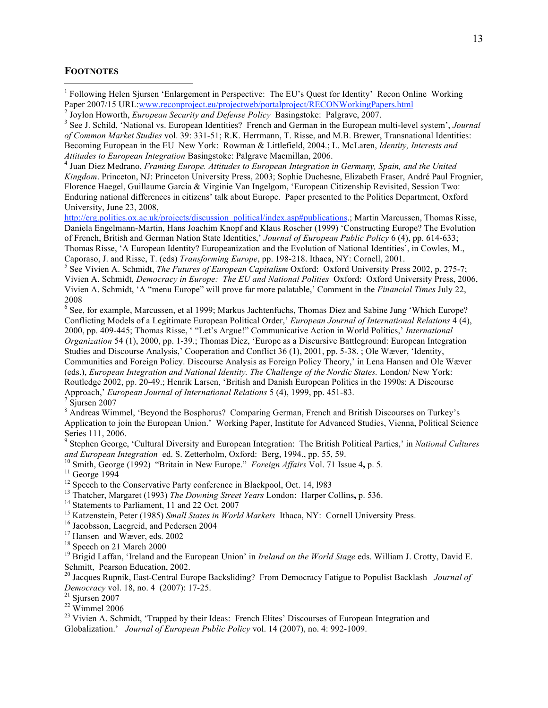#### **FOOTNOTES**

<sup>1</sup> Following Helen Sjursen 'Enlargement in Perspective: The EU's Quest for Identity' Recon Online Working Paper 2007/15 URL:www.reconproject.eu/projectweb/portalproject/RECONWorkingPapers.html <sup>2</sup> Joylon Howorth, *European Security and Defense Policy* Basingstoke: Palgrave, 2007.

<sup>3</sup> See J. Schild, 'National vs. European Identities? French and German in the European multi-level system', *Journal of Common Market Studies* vol. 39: 331-51; R.K. Herrmann, T. Risse, and M.B. Brewer, Transnational Identities: Becoming European in the EU New York: Rowman & Littlefield, 2004.; L. McLaren, *Identity, Interests and*  Attitudes to European Integration Basingstoke: Palgrave Macmillan, 2006.<br><sup>4</sup> Juan Diez Medrano, *Framing Europe. Attitudes to European Integration in Germany, Spain, and the United* 

*Kingdom*. Princeton, NJ: Princeton University Press, 2003; Sophie Duchesne, Elizabeth Fraser, André Paul Frognier, Florence Haegel, Guillaume Garcia & Virginie Van Ingelgom, 'European Citizenship Revisited, Session Two: Enduring national differences in citizens' talk about Europe. Paper presented to the Politics Department, Oxford University, June 23, 2008,

http://erg.politics.ox.ac.uk/projects/discussion\_political/index.asp#publications.; Martin Marcussen, Thomas Risse, Daniela Engelmann-Martin, Hans Joachim Knopf and Klaus Roscher (1999) 'Constructing Europe? The Evolution of French, British and German Nation State Identities,' *Journal of European Public Policy* 6 (4), pp. 614-633; Thomas Risse, 'A European Identity? Europeanization and the Evolution of National Identities', in Cowles, M., Caporaso, J. and Risse, T. (eds) *Transforming Europe*, pp. 198-218. Ithaca, NY: Cornell, 2001.

<sup>5</sup> See Vivien A. Schmidt, *The Futures of European Capitalism* Oxford: Oxford University Press 2002, p. 275-7; Vivien A. Schmidt*, Democracy in Europe: The EU and National Polities* Oxford: Oxford University Press, 2006, Vivien A. Schmidt, 'A "menu Europe" will prove far more palatable,' Comment in the *Financial Times* July 22, 2008

<sup>6</sup> See, for example, Marcussen, et al 1999; Markus Jachtenfuchs, Thomas Diez and Sabine Jung 'Which Europe? Conflicting Models of a Legitimate European Political Order,' *European Journal of International Relations* 4 (4), 2000, pp. 409-445; Thomas Risse, ' "Let's Argue!" Communicative Action in World Politics,' *International Organization* 54 (1), 2000, pp. 1-39.; Thomas Diez, 'Europe as a Discursive Battleground: European Integration Studies and Discourse Analysis,' Cooperation and Conflict 36 (1), 2001, pp. 5-38. ; Ole Wæver, 'Identity, Communities and Foreign Policy. Discourse Analysis as Foreign Policy Theory,' in Lena Hansen and Ole Wæver (eds.), *European Integration and National Identity. The Challenge of the Nordic States.* London/ New York:

Routledge 2002, pp. 20-49.; Henrik Larsen, 'British and Danish European Politics in the 1990s: A Discourse Approach,' *European Journal of International Relations* 5 (4), 1999, pp. 451-83. <sup>7</sup> Sjursen 2007

<sup>8</sup> Andreas Wimmel, 'Beyond the Bosphorus? Comparing German, French and British Discourses on Turkey's Application to join the European Union.' Working Paper, Institute for Advanced Studies, Vienna, Political Science Series 111, 2006.

9 Stephen George, 'Cultural Diversity and European Integration: The British Political Parties,' in *National Cultures*  and European Integration ed. S. Zetterholm, Oxford: Berg, 1994., pp. 55, 59.<br><sup>10</sup> Smith, George (1992) "Britain in New Europe." *Foreign Affairs* Vol. 71 Issue 4, p. 5.<br><sup>11</sup> George 1994<br><sup>12</sup> Speech to the Conservative Part

<sup>15</sup> Katzenstein, Peter (1985) *Small States in World Markets* Ithaca, NY: Cornell University Press.<br><sup>16</sup> Jacobsson, Laegreid, and Pedersen 2004<br><sup>17</sup> Hansen and Wæver, eds. 2002

18 Speech on 21 March 2000

<sup>19</sup> Brigid Laffan, 'Ireland and the European Union' in *Ireland on the World Stage* eds. William J. Crotty, David E. Schmitt, Pearson Education, 2002.<br><sup>20</sup> Jacques Rupnik, East-Central Europe Backsliding? From Democracy Fatigue to Populist Backlash *Journal of* 

*Democracy* vol. 18, no. 4 (2007): 17-25.<br><sup>21</sup> Sjursen 2007<br><sup>22</sup> Wimmel 2006

<sup>23</sup> Vivien A. Schmidt, 'Trapped by their Ideas: French Elites' Discourses of European Integration and Globalization.' *Journal of European Public Policy* vol. 14 (2007), no. 4: 992-1009.